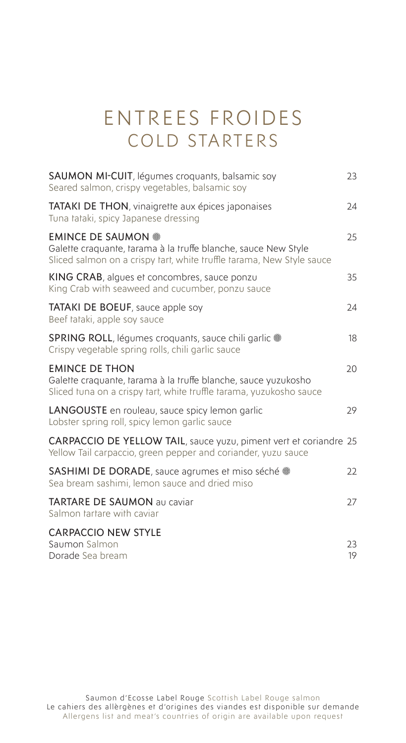## ENTREES FROIDES COLD STARTERS

| <b>SAUMON MI-CUIT</b> , légumes croquants, balsamic soy<br>Seared salmon, crispy vegetables, balsamic soy                                                            | 23       |
|----------------------------------------------------------------------------------------------------------------------------------------------------------------------|----------|
| <b>TATAKI DE THON, vinaigrette aux épices japonaises</b><br>Tuna tataki, spicy Japanese dressing                                                                     | 24       |
| <b>EMINCE DE SAUMON ®</b><br>Galette craquante, tarama à la truffe blanche, sauce New Style<br>Sliced salmon on a crispy fart, white truffle farama, New Style sauce | 25       |
| KING CRAB, algues et concombres, sauce ponzu<br>King Crab with seaweed and cucumber, ponzu sauce                                                                     | 35       |
| <b>TATAKI DE BOEUF</b> , sauce apple soy<br>Beef tataki, apple soy sauce                                                                                             | 24       |
| <b>SPRING ROLL</b> , légumes croquants, sauce chili garlic .<br>Crispy vegetable spring rolls, chili garlic sauce                                                    | 18       |
| <b>EMINCE DE THON</b><br>Galette craquante, tarama à la truffe blanche, sauce yuzukosho<br>Sliced tuna on a crispy tart, white truffle tarama, yuzukosho sauce       | 20       |
| LANGOUSTE en rouleau, sauce spicy lemon garlic<br>Lobster spring roll, spicy lemon garlic sauce                                                                      | 29       |
| CARPACCIO DE YELLOW TAIL, sauce yuzu, piment vert et coriandre 25<br>Yellow Tail carpaccio, green pepper and coriander, yuzu sauce                                   |          |
| <b>SASHIMI DE DORADE</b> , sauce agrumes et miso séché .<br>Sea bream sashimi, lemon sauce and dried miso                                                            | 22       |
| <b>TARTARE DE SAUMON au caviar</b><br>Salmon fartare with caviar                                                                                                     | 27       |
| <b>CARPACCIO NEW STYLE</b><br>Saumon Salmon<br>Dorade Sea bream                                                                                                      | 23<br>19 |
|                                                                                                                                                                      |          |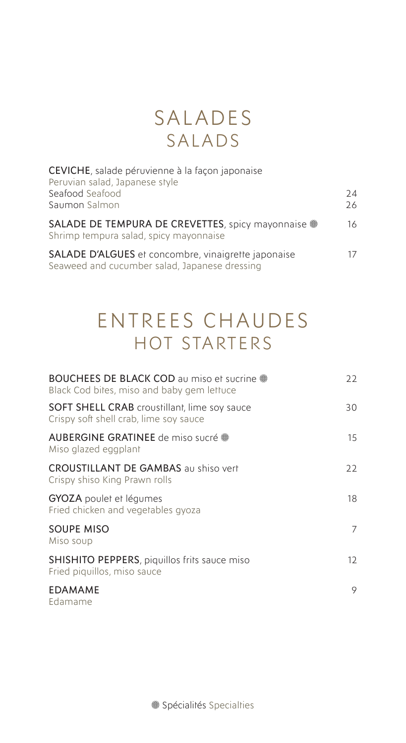#### SALADES SALADS

| CEVICHE, salade péruvienne à la façon japonaise<br>Peruvian salad, Japanese style                    |          |
|------------------------------------------------------------------------------------------------------|----------|
| Seafood Seafood<br>Saumon Salmon                                                                     | 74<br>26 |
| SALADE DE TEMPURA DE CREVETTES, spicy mayonnaise .<br>Shrimp tempura salad, spicy mayonnaise         | 16       |
| SALADE D'ALGUES et concombre, vinaigrette japonaise<br>Seaweed and cucumber salad, Japanese dressing | 17       |

# ENTREES CHAUDES HOT STARTERS

| BOUCHEES DE BLACK COD au miso et sucrine .<br>Black Cod bites, miso and baby gem lettuce      | 22                |
|-----------------------------------------------------------------------------------------------|-------------------|
| <b>SOFT SHELL CRAB</b> croustillant, lime soy sauce<br>Crispy soft shell crab, lime soy sauce | 30                |
| AUBERGINE GRATINEE de miso sucré ®<br>Miso glazed eggplant                                    | 15                |
| <b>CROUSTILLANT DE GAMBAS</b> au shiso vert<br>Crispy shiso King Prawn rolls                  | 22                |
| <b>GYOZA</b> poulet et légumes<br>Fried chicken and vegetables gyoza                          | 18                |
| <b>SOUPE MISO</b><br>Miso soup                                                                | 7                 |
| <b>SHISHITO PEPPERS</b> , piquillos frits sauce miso<br>Fried piquillos, miso sauce           | $12 \overline{ }$ |
| <b>EDAMAME</b><br>Edamame                                                                     | 9                 |

Spécialités Specialties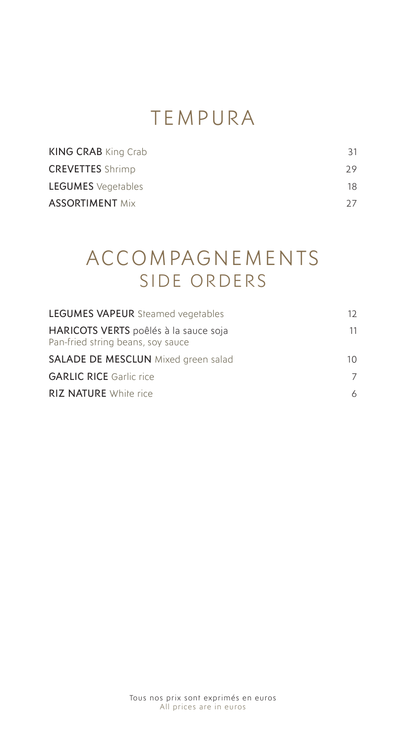# TEMPURA

| 31  |
|-----|
| 29. |
| 18  |
| 27  |
|     |

## ACCOMPAGNEMENTS SIDE ORDERS

| <b>LEGUMES VAPEUR</b> Steamed vegetables                                   | 12 |
|----------------------------------------------------------------------------|----|
| HARICOTS VERTS poêlés à la sauce soja<br>Pan-fried string beans, soy sauce | 11 |
| <b>SALADE DE MESCLUN</b> Mixed green salad                                 | 10 |
| <b>GARLIC RICE</b> Garlic rice                                             | 7  |
| <b>RIZ NATURE</b> White rice                                               | 6  |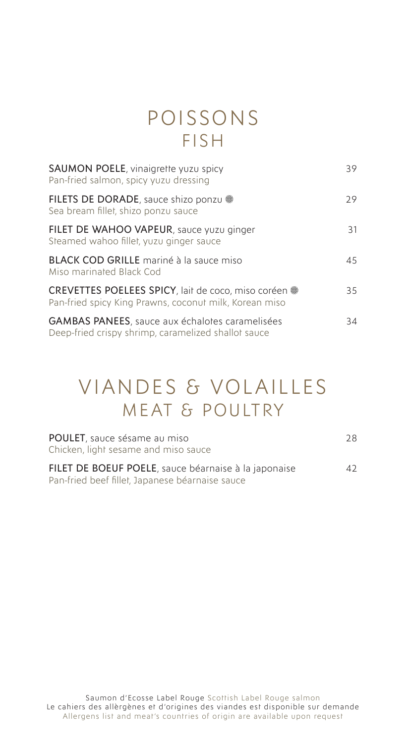#### POISSONS FISH

| SAUMON POELE, vinaigrette yuzu spicy<br>Pan-fried salmon, spicy yuzu dressing                                  | 39 |
|----------------------------------------------------------------------------------------------------------------|----|
| FILETS DE DORADE, sauce shizo ponzu<br>Sea bream fillet, shizo ponzu sauce                                     | 29 |
| FILET DE WAHOO VAPEUR, sauce yuzu ginger<br>Steamed wahoo fillet, yuzu ginger sauce                            | 31 |
| <b>BLACK COD GRILLE</b> mariné à la sauce miso<br>Miso marinated Black Cod                                     | 45 |
| CREVETTES POELEES SPICY, lait de coco, miso coréen .<br>Pan-fried spicy King Prawns, coconut milk, Korean miso | 35 |
| <b>GAMBAS PANEES</b> , sauce aux échalotes caramelisées<br>Deep-fried crispy shrimp, caramelized shallot sauce | 34 |

### VIANDES & VOLAILLES MEAT & POULTRY

| <b>POULET</b> , sauce sésame au miso<br>Chicken, light sesame and miso sauce                            | 28 |
|---------------------------------------------------------------------------------------------------------|----|
| FILET DE BOEUF POELE, sauce béarnaise à la japonaise<br>Pan-fried beef fillet, Japanese béarnaise sauce | 42 |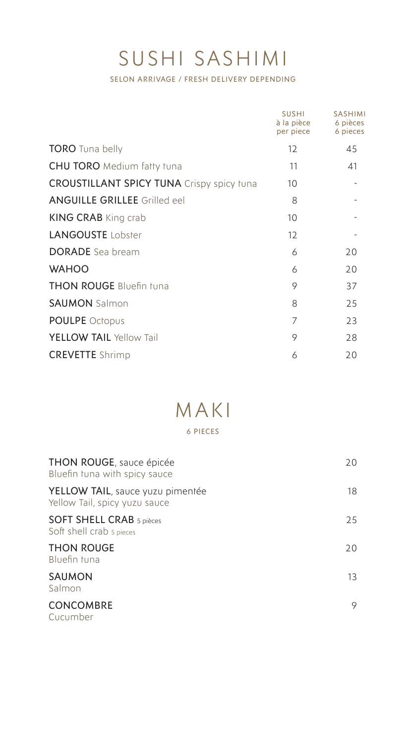# SUSHI SASHIMI

SELON ARRIVAGE / FRESH DELIVERY DEPENDING

|                                                  | <b>SUSHI</b><br>à la pièce<br>per piece | <b>SASHIMI</b><br>6 pièces<br>6 pieces |
|--------------------------------------------------|-----------------------------------------|----------------------------------------|
| <b>TORO</b> Tuna belly                           | 12                                      | 45                                     |
| <b>CHU TORO</b> Medium fatty tuna                | 11                                      | 41                                     |
| <b>CROUSTILLANT SPICY TUNA</b> Crispy spicy tuna | 10                                      |                                        |
| <b>ANGUILLE GRILLEE</b> Grilled eel              | 8                                       |                                        |
| <b>KING CRAB</b> King crab                       | 10                                      |                                        |
| <b>LANGOUSTE</b> Lobster                         | 12                                      |                                        |
| <b>DORADE</b> Sea bream                          | 6                                       | 20                                     |
| <b>WAHOO</b>                                     | 6                                       | 20                                     |
| <b>THON ROUGE Bluefin tuna</b>                   | 9                                       | 37                                     |
| <b>SAUMON</b> Salmon                             | 8                                       | 25                                     |
| <b>POULPE</b> Octopus                            | 7                                       | 23                                     |
| YELLOW TAIL Yellow Tail                          | 9                                       | 28                                     |
| <b>CREVETTE</b> Shrimp                           | 6                                       | 20                                     |

# MAKI

#### 6 PIECES

| <b>THON ROUGE, sauce épicée</b><br>Bluefin tuna with spicy sauce  | 20 |
|-------------------------------------------------------------------|----|
| YELLOW TAIL, sauce yuzu pimentée<br>Yellow Tail, spicy yuzu sauce | 18 |
| <b>SOFT SHELL CRAB</b> 5 pièces<br>Soft shell crab 5 pieces       | 25 |
| <b>THON ROUGE</b><br>Bluefin tuna                                 | 20 |
| <b>SAUMON</b><br>Salmon                                           | 13 |
| <b>CONCOMBRE</b><br>Cucumber                                      | 9  |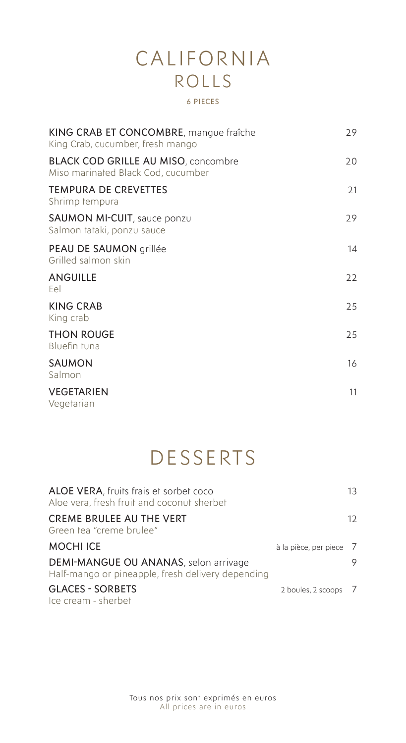# CALIFORNIA ROLLS

#### 6 PIECES

| KING CRAB ET CONCOMBRE, mangue fraîche<br>King Crab, cucumber, fresh mango       | 29 |
|----------------------------------------------------------------------------------|----|
| <b>BLACK COD GRILLE AU MISO, concombre</b><br>Miso marinated Black Cod, cucumber | 20 |
| <b>TEMPURA DE CREVETTES</b><br>Shrimp tempura                                    | 21 |
| <b>SAUMON MI-CUIT</b> , sauce ponzu<br>Salmon tataki, ponzu sauce                | 29 |
| PEAU DE SAUMON grillée<br>Grilled salmon skin                                    | 14 |
| ANGUILLE<br>Eel                                                                  | 22 |
| <b>KING CRAB</b><br>King crab                                                    | 25 |
| <b>THON ROUGE</b><br>Bluefin tuna                                                | 25 |
| SAUMON<br>Salmon                                                                 | 16 |
| VEGETARIEN<br>Vegetarian                                                         | 11 |

# **DESSERTS**

| ALOE VERA, fruits frais et sorbet coco<br>Aloe vera, fresh fruit and coconut sherbet       |                         | 13 |
|--------------------------------------------------------------------------------------------|-------------------------|----|
| <b>CREME BRULEE AU THE VERT</b><br>Green tea "creme brulee"                                |                         | 12 |
| <b>MOCHI ICE</b>                                                                           | à la pièce, per piece 7 |    |
| DEMI-MANGUE OU ANANAS, selon arrivage<br>Half-mango or pineapple, fresh delivery depending |                         | 9  |
| <b>GLACES - SORBETS</b><br>Ice cream - sherbet                                             | 2 boules, 2 scoops 7    |    |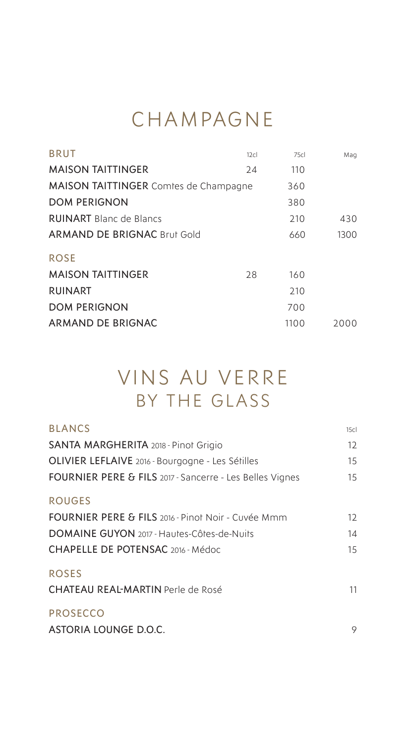## CHAMPAGNE

| <b>BRUT</b>                                  | 12c | 75c  | Mag  |
|----------------------------------------------|-----|------|------|
| <b>MAISON TAITTINGER</b>                     | 24  | 110  |      |
| <b>MAISON TAITTINGER Comtes de Champagne</b> |     | 360  |      |
| <b>DOM PERIGNON</b>                          |     | 380  |      |
| <b>RUINART</b> Blanc de Blancs               |     | 210  | 430  |
| <b>ARMAND DE BRIGNAC Brut Gold</b>           |     | 660  | 1300 |
| <b>ROSE</b>                                  |     |      |      |
| <b>MAISON TAITTINGER</b>                     | 28  | 160  |      |
| <b>RUINART</b>                               |     | 210  |      |
| <b>DOM PERIGNON</b>                          |     | 700  |      |
| ARMAND DE BRIGNAC                            |     | 1100 | 2000 |
|                                              |     |      |      |

# VINS AU VERRE BY THE GLASS

| <b>BLANCS</b>                                            | 15c |
|----------------------------------------------------------|-----|
| <b>SANTA MARGHERITA</b> 2018 - Pinot Grigio              | 12  |
| OLIVIER LEFLAIVE 2016 - Bourgogne - Les Sétilles         | 15  |
| FOURNIER PERE & FILS 2017 - Sancerre - Les Belles Vignes | 15  |
| <b>ROUGES</b>                                            |     |
| FOURNIER PERE & FILS 2016 - Pinot Noir - Cuvée Mmm       | 12  |
| DOMAINE GUYON 2017 - Hautes-Côtes-de-Nuits               | 14  |
| CHAPELLE DE POTENSAC 2016 - Médoc                        | 15  |
| <b>ROSES</b><br><b>CHATEAU REAL-MARTIN Perle de Rosé</b> | 11  |
| <b>PROSECCO</b>                                          |     |
| <b>ASTORIA LOUNGE D.O.C.</b>                             | 9   |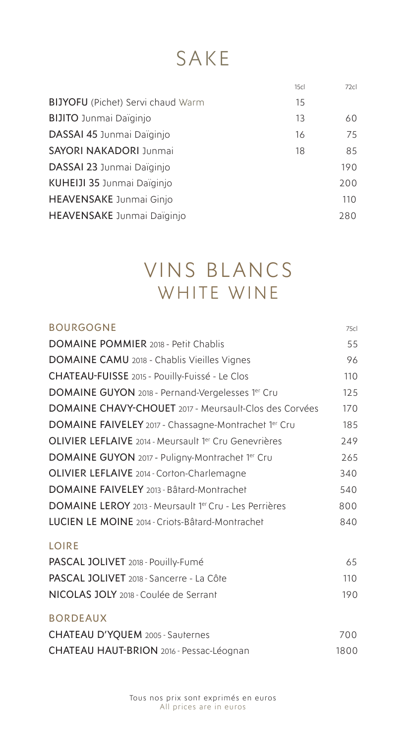# SAKE

|                                          | 15c | 72c |
|------------------------------------------|-----|-----|
| <b>BIJYOFU</b> (Pichet) Servi chaud Warm | 15  |     |
| <b>BIJITO</b> Junmai Daïginjo            | 13  | 60  |
| DASSAI 45 Junmai Daiginjo                | 16  | 75  |
| <b>SAYORI NAKADORI Junmai</b>            | 18  | 85  |
| DASSAI 23 Junmai Daiginjo                |     | 190 |
| KUHEIJI 35 Junmai Daiginjo               |     | 200 |
| <b>HEAVENSAKE</b> Junmai Ginjo           |     | 110 |
| <b>HEAVENSAKE</b> Junmai Daïginjo        |     | 280 |
|                                          |     |     |

### VINS BLANCS WHITE WINE

| <b>BOURGOGNE</b>                                       | 75cl |  |
|--------------------------------------------------------|------|--|
| <b>DOMAINE POMMIER 2018 - Petit Chablis</b>            | 55   |  |
| DOMAINE CAMU 2018 - Chablis Vieilles Vignes            | 96   |  |
| CHATEAU-FUISSE 2015 - Pouilly-Fuissé - Le Clos         | 110  |  |
| DOMAINE GUYON 2018 - Pernand-Vergelesses 1er Cru       | 125  |  |
| DOMAINE CHAVY-CHOUET 2017 - Meursault-Clos des Corvées | 170  |  |
| DOMAINE FAIVELEY 2017 - Chassagne-Montrachet 1er Cru   | 185  |  |
| OLIVIER LEFLAIVE 2014 - Meursault 1er Cru Genevrières  | 249  |  |
| DOMAINE GUYON 2017 - Puligny-Montrachet 1er Cru        | 265  |  |
| OLIVIER LEFLAIVE 2014 - Corton-Charlemagne             | 340  |  |
| <b>DOMAINE FAIVELEY</b> 2013 - Bâtard-Montrachet       | 540  |  |
| DOMAINE LEROY 2013 - Meursault 1er Cru - Les Perrières | 800  |  |
| LUCIEN LE MOINE 2014 - Criots-Bâtard-Montrachet        | 840  |  |
| <b>LOIRE</b>                                           |      |  |
| PASCAL JOLIVET 2018 - Pouilly-Fumé                     | 65   |  |
| PASCAL JOLIVET 2018 - Sancerre - La Côte               | 110  |  |
| NICOLAS JOLY 2018 - Coulée de Serrant                  | 190  |  |
| <b>BORDEAUX</b>                                        |      |  |
| <b>CHATEAU D'YQUEM</b> 2005 - Sauternes                | 700  |  |
| CHATEAU HAUT-BRION 2016 - Pessac-Léognan               | 1800 |  |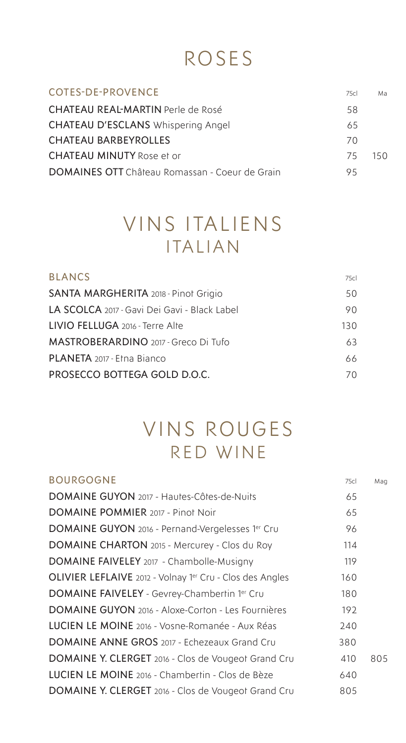# ROSES

| <b>COTES-DE-PROVENCE</b>                              | 75c | Ma   |
|-------------------------------------------------------|-----|------|
| <b>CHATEAU REAL-MARTIN Perle de Rosé</b>              | 58  |      |
| <b>CHATEAU D'ESCLANS Whispering Angel</b>             | 65  |      |
| <b>CHATEAU BARBEYROLLES</b>                           | 70  |      |
| <b>CHATEAU MINUTY Rose et or</b>                      | 75  | 15 O |
| <b>DOMAINES OTT</b> Château Romassan - Coeur de Grain | 95  |      |

## VINS ITALIENS ITALIAN

| <b>BLANCS</b>                                       | 75cl |
|-----------------------------------------------------|------|
| <b>SANTA MARGHERITA</b> 2018 - Pinot Grigio         | 50   |
| <b>LA SCOLCA</b> 2017 - Gavi Dei Gavi - Black Label | 90.  |
| LIVIO FELLUGA 2016 - Terre Alte                     | 130  |
| MASTROBERARDINO 2017 - Greco Di Tufo                | 63   |
| <b>PLANETA</b> 2017 - Etna Bianco                   | 66   |
| PROSECCO BOTTEGA GOLD D.O.C.                        | 70.  |

#### VINS ROUGES RED WINE

| <b>BOURGOGNE</b>                                                | 75c | Mag |
|-----------------------------------------------------------------|-----|-----|
| DOMAINE GUYON 2017 - Hautes-Côtes-de-Nuits                      | 65  |     |
| <b>DOMAINE POMMIER</b> 2017 - Pinot Noir                        | 65  |     |
| <b>DOMAINE GUYON</b> 2016 - Pernand-Vergelesses 1er Cru         | 96  |     |
| DOMAINE CHARTON 2015 - Mercurey - Clos du Roy                   | 114 |     |
| DOMAINE FAIVELEY 2017 - Chambolle-Musigny                       | 119 |     |
| <b>OLIVIER LEFLAIVE</b> 2012 - Volnay 1er Cru - Clos des Angles | 160 |     |
| <b>DOMAINE FAIVELEY</b> - Gevrey-Chambertin 1 <sup>er</sup> Cru | 180 |     |
| <b>DOMAINE GUYON</b> 2016 - Aloxe-Corton - Les Fournières       | 192 |     |
| LUCIEN LE MOINE 2016 - Vosne-Romanée - Aux Réas                 | 240 |     |
| <b>DOMAINE ANNE GROS</b> 2017 - Echezeaux Grand Cru             | 380 |     |
| DOMAINE Y. CLERGET 2016 - Clos de Vougeot Grand Cru             | 410 | 805 |
| <b>LUCIEN LE MOINE</b> 2016 - Chambertin - Clos de Bèze         | 640 |     |
| DOMAINE Y. CLERGET 2016 - Clos de Vougeot Grand Cru             | 805 |     |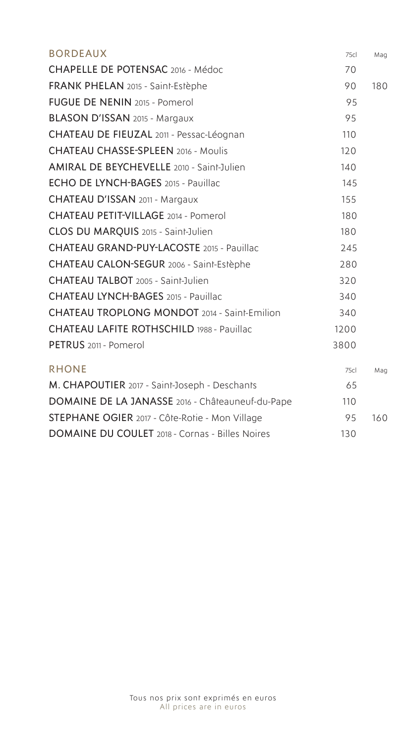| <b>BORDEAUX</b>                                        | 75c  | Mag |
|--------------------------------------------------------|------|-----|
| CHAPELLE DE POTENSAC 2016 - Médoc                      | 70   |     |
| FRANK PHELAN 2015 - Saint-Estèphe                      | 90   | 180 |
| <b>FUGUE DE NENIN 2015 - Pomerol</b>                   | 95   |     |
| BLASON D'ISSAN 2015 - Margaux                          | 95   |     |
| CHATEAU DE FIEUZAL 2011 - Pessac-Léognan               | 110  |     |
| <b>CHATEAU CHASSE-SPLEEN 2016 - Moulis</b>             | 120  |     |
| <b>AMIRAL DE BEYCHEVELLE 2010 - Saint-Julien</b>       | 140  |     |
| ECHO DE LYNCH-BAGES 2015 - Pauillac                    | 145  |     |
| CHATEAU D'ISSAN 2011 - Margaux                         | 155  |     |
| <b>CHATEAU PETIT-VILLAGE 2014 - Pomerol</b>            | 180  |     |
| CLOS DU MARQUIS 2015 - Saint-Julien                    | 180  |     |
| <b>CHATEAU GRAND-PUY-LACOSTE 2015 - Pauillac</b>       | 245  |     |
| CHATEAU CALON-SEGUR 2006 - Saint-Estèphe               | 280  |     |
| CHATEAU TALBOT 2005 - Saint-Julien                     | 320  |     |
| <b>CHATEAU LYNCH-BAGES</b> 2015 - Pauillac             | 340  |     |
| <b>CHATEAU TROPLONG MONDOT</b> 2014 - Saint-Emilion    | 340  |     |
| <b>CHATEAU LAFITE ROTHSCHILD 1988 - Pauillac</b>       | 1200 |     |
| PETRUS 2011 - Pomerol                                  | 3800 |     |
| <b>RHONE</b>                                           | 75cl | Mag |
| M. CHAPOUTIER 2017 - Saint-Joseph - Deschants          | 65   |     |
| DOMAINE DE LA JANASSE 2016 - Châteauneuf-du-Pape       | 110  |     |
| STEPHANE OGIER 2017 - Côte-Rotie - Mon Village         | 95   | 160 |
| <b>DOMAINE DU COULET</b> 2018 - Cornas - Billes Noires | 130  |     |